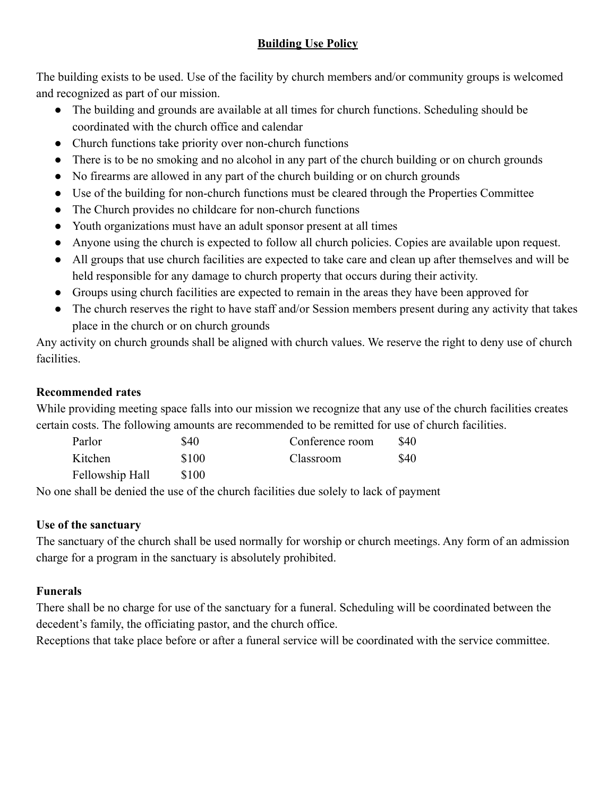## **Building Use Policy**

The building exists to be used. Use of the facility by church members and/or community groups is welcomed and recognized as part of our mission.

- The building and grounds are available at all times for church functions. Scheduling should be coordinated with the church office and calendar
- Church functions take priority over non-church functions
- There is to be no smoking and no alcohol in any part of the church building or on church grounds
- No firearms are allowed in any part of the church building or on church grounds
- Use of the building for non-church functions must be cleared through the Properties Committee
- The Church provides no childcare for non-church functions
- Youth organizations must have an adult sponsor present at all times
- Anyone using the church is expected to follow all church policies. Copies are available upon request.
- All groups that use church facilities are expected to take care and clean up after themselves and will be held responsible for any damage to church property that occurs during their activity.
- Groups using church facilities are expected to remain in the areas they have been approved for
- The church reserves the right to have staff and/or Session members present during any activity that takes place in the church or on church grounds

Any activity on church grounds shall be aligned with church values. We reserve the right to deny use of church facilities.

## **Recommended rates**

While providing meeting space falls into our mission we recognize that any use of the church facilities creates certain costs. The following amounts are recommended to be remitted for use of church facilities.

| Parlor          | \$40  | Conference room  | \$40        |
|-----------------|-------|------------------|-------------|
| Kitchen         | \$100 | <b>Classroom</b> | <b>\$40</b> |
| Fellowship Hall | \$100 |                  |             |

No one shall be denied the use of the church facilities due solely to lack of payment

## **Use of the sanctuary**

The sanctuary of the church shall be used normally for worship or church meetings. Any form of an admission charge for a program in the sanctuary is absolutely prohibited.

# **Funerals**

There shall be no charge for use of the sanctuary for a funeral. Scheduling will be coordinated between the decedent's family, the officiating pastor, and the church office.

Receptions that take place before or after a funeral service will be coordinated with the service committee.